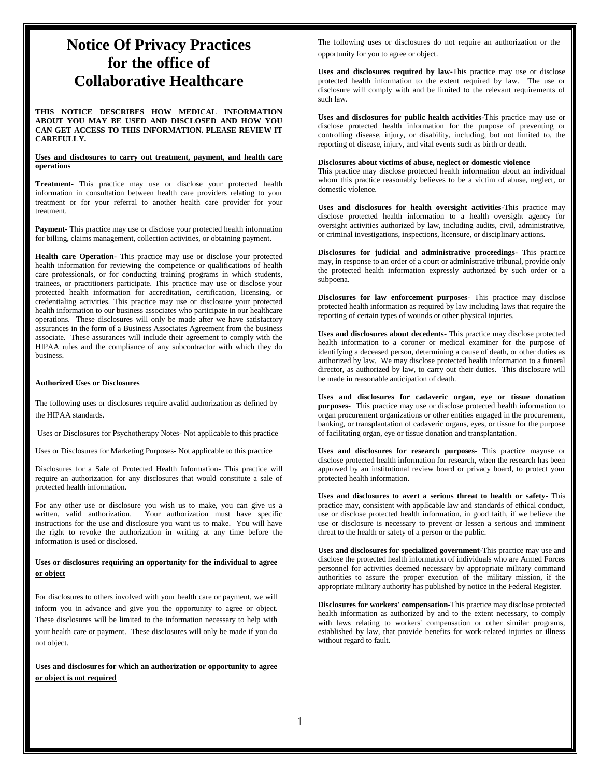# **Notice Of Privacy Practices for the office of Collaborative Healthcare**

**THIS NOTICE DESCRIBES HOW MEDICAL INFORMATION ABOUT YOU MAY BE USED AND DISCLOSED AND HOW YOU CAN GET ACCESS TO THIS INFORMATION. PLEASE REVIEW IT CAREFULLY.** 

## **Uses and disclosures to carry out treatment, payment, and health care operations**

**Treatment-** This practice may use or disclose your protected health information in consultation between health care providers relating to your treatment or for your referral to another health care provider for your treatment.

**Payment-** This practice may use or disclose your protected health information for billing, claims management, collection activities, or obtaining payment.

**Health care Operation-** This practice may use or disclose your protected health information for reviewing the competence or qualifications of health care professionals, or for conducting training programs in which students, trainees, or practitioners participate. This practice may use or disclose your protected health information for accreditation, certification, licensing, or credentialing activities. This practice may use or disclosure your protected health information to our business associates who participate in our healthcare operations. These disclosures will only be made after we have satisfactory assurances in the form of a Business Associates Agreement from the business associate. These assurances will include their agreement to comply with the HIPAA rules and the compliance of any subcontractor with which they do business.

# **Authorized Uses or Disclosures**

The following uses or disclosures require avalid authorization as defined by the HIPAA standards.

Uses or Disclosures for Psychotherapy Notes- Not applicable to this practice

Uses or Disclosures for Marketing Purposes- Not applicable to this practice

Disclosures for a Sale of Protected Health Information- This practice will require an authorization for any disclosures that would constitute a sale of protected health information.

For any other use or disclosure you wish us to make, you can give us a written, valid authorization. Your authorization must have specific instructions for the use and disclosure you want us to make. You will have the right to revoke the authorization in writing at any time before the information is used or disclosed.

# **Uses or disclosures requiring an opportunity for the individual to agree or object**

For disclosures to others involved with your health care or payment, we will inform you in advance and give you the opportunity to agree or object. These disclosures will be limited to the information necessary to help with your health care or payment. These disclosures will only be made if you do not object.

**Uses and disclosures for which an authorization or opportunity to agree or object is not required**

The following uses or disclosures do not require an authorization or the opportunity for you to agree or object.

**Uses and disclosures required by law-**This practice may use or disclose protected health information to the extent required by law. The use or disclosure will comply with and be limited to the relevant requirements of such law.

**Uses and disclosures for public health activities-**This practice may use or disclose protected health information for the purpose of preventing or controlling disease, injury, or disability, including, but not limited to, the reporting of disease, injury, and vital events such as birth or death.

# **Disclosures about victims of abuse, neglect or domestic violence**

This practice may disclose protected health information about an individual whom this practice reasonably believes to be a victim of abuse, neglect, or domestic violence.

**Uses and disclosures for health oversight activities-**This practice may disclose protected health information to a health oversight agency for oversight activities authorized by law, including audits, civil, administrative, or criminal investigations, inspections, licensure, or disciplinary actions.

**Disclosures for judicial and administrative proceedings-** This practice may, in response to an order of a court or administrative tribunal, provide only the protected health information expressly authorized by such order or a subpoena.

**Disclosures for law enforcement purposes**- This practice may disclose protected health information as required by law including laws that require the reporting of certain types of wounds or other physical injuries.

**Uses and disclosures about decedents-** This practice may disclose protected health information to a coroner or medical examiner for the purpose of identifying a deceased person, determining a cause of death, or other duties as authorized by law. We may disclose protected health information to a funeral director, as authorized by law, to carry out their duties. This disclosure will be made in reasonable anticipation of death.

**Uses and disclosures for cadaveric organ, eye or tissue donation purposes**- This practice may use or disclose protected health information to organ procurement organizations or other entities engaged in the procurement, banking, or transplantation of cadaveric organs, eyes, or tissue for the purpose of facilitating organ, eye or tissue donation and transplantation.

**Uses and disclosures for research purposes-** This practice mayuse or disclose protected health information for research, when the research has been approved by an institutional review board or privacy board, to protect your protected health information.

**Uses and disclosures to avert a serious threat to health or safety**- This practice may, consistent with applicable law and standards of ethical conduct, use or disclose protected health information, in good faith, if we believe the use or disclosure is necessary to prevent or lessen a serious and imminent threat to the health or safety of a person or the public.

**Uses and disclosures for specialized government-**This practice may use and disclose the protected health information of individuals who are Armed Forces personnel for activities deemed necessary by appropriate military command authorities to assure the proper execution of the military mission, if the appropriate military authority has published by notice in the Federal Register.

**Disclosures for workers' compensation-**This practice may disclose protected health information as authorized by and to the extent necessary, to comply with laws relating to workers' compensation or other similar programs, established by law, that provide benefits for work-related injuries or illness without regard to fault.